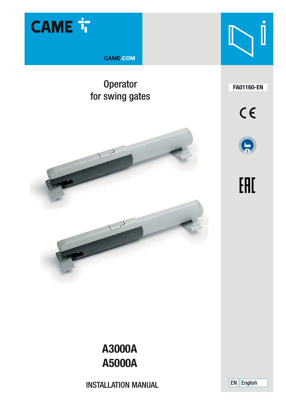

**CAME.COM** 

# Operator **FA01160-EN** for swing gates











# **A3000A A5000A**

INSTALLATION MANUAL

EN English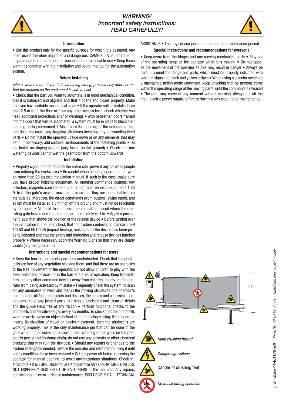

# **WARNING!** important safety instructions: READ CAREFULLY!



#### **Introduction**

• Use this product only for the specific purpose for which it is designed. Any other use is therefore improper and dangerous. CAME S.p.A. is not liable for any damage due to improper, erroneous and unreasonable use • Keep these warnings together with the installation and users' manual for the automation system.

#### **Before installing**

#### (check what's there: if you find something wrong, proceed only after correcting the problem so the equipment is safe to use)

• Check that the part you want to automate is in good mechanical condition, that it is balanced and aligned, and that it opens and closes properly. Make sure you have suitable mechanical stops  $\bullet$  If the operator will be installed less than 2.5 m from the floor or from any other access level, check whether you need additional protections and/ or warnings • With pedestrian doors framed into the doors that will be automated, a system must be in place to block their opening during movement • Make sure the opening of the automated door leaf does not cause any trapping situations involving any surrounding fixed parts • Do not install the operator upside down or on any elements that may bend. If necessary, add suitable reinforcements at the fastening points • Do not install on sloping ground (only install on flat ground)  $\bullet$  Check that any watering devices cannot wet the gearmotor from the bottom upwards.

#### **Installation**

• Properly signal and demarcate the entire site prevent any careless people from entering the works area • Be careful when handling operators that weigh more than 20 kg (see installation manual. If such is the case, make sure you have proper hoisting equipment. All opening commands (buttons, key selectors, magnetic card readers, and so on) must be installed at least 1.85 M from the gate's area of movement, or so that they are unreachable from the outside. Moreover, the direct commands (from buttons, swipe cards, and so on) must be installed 1.5 m high off the ground and must not be reachable by the public • All "hold-to-run" commands must be placed where the operating gate leaves and transit areas are completely visible. • Apply a permanent label that shows the position of the release device • Before turning over the installation to the user, check that the system conforms to standards EN 12453 and EN12445 (impact testing), making sure the device has been properly adjusted and that the safety and protection and release devices function properly • Where necessary apply the Warning Signs so that they are clearly visible (e.g. the gate plate)

#### **Instructions and special recommendations for users**

• Keep the barrier's areas of operations unobstructed. Check that the photocells are free of any vegetation blocking them, and that there are no obstacles to the free movement of the operator. Do not allow children to play with the fixed command devices, or in the barrier's area of operation. Keep transmitters and any other command devices away from children, to prevent the operator from being activated by mistake • Frequently check the system, to scan for any anomalies or wear and tear in the moving structures, the operator's components, all fastening points and devices, the cables and accessible connections. Keep any jointed parts like hinges lubricated and clean of debris and the guide-sleds free of any friction • Perform functional checks to the photocells and sensitive edges every six months. To check that the photocells work properly, wave an object in front of them during closing; if the operator inverts its direction of travel or blocks movement, then the photocells are working properly. This is the only maintenance job that can be done to the gate when it is powered up. Ensure proper cleaning of the glass on the photocells (use a slightly damp cloth); do not use any solvents or other chemical products that may ruin the devices) • Should any repairs or changes to the system settings be needed, release the operator and refrain from using it until safety conditions have been restored • Cut the power off before releasing the operator for manual opening, to avoid any hazardous situations. Check instructions • It is FORBIDDEN for users to perform ANY OPERATIONS THAT ARE NOT EXPRESSLY REQUESTED OF SAID USERS in the manuals. Any repairs, adjustments or extra-ordinary maintenance, EXCLUSIVELY CALL TECHNICAL

ASSISTANCE • Log any service jobs onto the periodic maintenance journal.

#### **Special instructions and recommendations for everyone**

• Keep away from the hinges and any moving mechanical parts • Stay out of the operating range of the operator while it is moving • Do not oppose the movement of the operator as this may result in danger • Always be careful around the dangerous parts, which must be properly indicated with warning signs and black and yellow stripes • When using a selector switch or a maintained-action mode command, keep checking that no persons come within the operating range of the moving parts, until the command is released • The gate may move at any moment without warning. Always cut off the main electric power supply before performing any cleaning or maintenance.

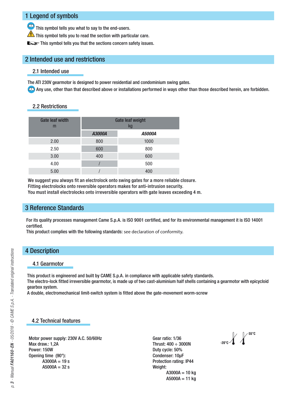# 1 Legend of symbols

This symbol tells you what to say to the end-users.

 $\overline{\mathbf{A}}$  This symbol tells you to read the section with particular care.

This symbol tells you that the sections concern safety issues.

# 2 Intended use and restrictions

#### 2.1 Intended use

The ATI 230V gearmotor is designed to power residential and condominium swing gates.

Any use, other than that described above or installations performed in ways other than those described herein, are forbidden.

#### 2.2 Restrictions

| <b>Gate leaf width</b><br>m | <b>Gate leaf weight</b><br>kg |               |
|-----------------------------|-------------------------------|---------------|
|                             | A3000A                        | <b>A5000A</b> |
| 2.00                        | 800                           | 1000          |
| 2.50                        | 600                           | 800           |
| 3.00                        | 400                           | 600           |
| 4.00                        |                               | 500           |
| 5.00                        |                               | 400           |

We suggest you always fit an electrolock onto swing gates for a more reliable closure.

Fitting electrolocks onto reversible operators makes for anti-intrusion security.

You must install electrolocks onto irreversible operators with gate leaves exceeding 4 m.

### 3 Reference Standards

For its quality processes management Came S.p.A. is ISO 9001 certified, and for its environmental management it is ISO 14001 certified.

This product complies with the following standards: see declaration of conformity.

# 4 Description

#### 4.1 Gearmotor

This product is engineered and built by CAME S.p.A. in compliance with applicable safety standards. The electro-lock fitted irreversible gearmotor, is made up of two cast-aluminium half shells containing a gearmotor with epicycloid gearbox system.

A double, electromechanical limit-switch system is fitted above the gate-movement worm-screw

# 4.2 Technical features

Motor power supply: 230V A.C. 50/60Hz Max draw.: 1,2A Power: 150W Opening time (90°):  $A3000A = 19 s$  $A5000A = 32 s$ 

Gear ratio: 1/36 Thrust: 400 ÷ 3000N Duty cycle: 50% Condenser: 10μF Protection rating: IP44 Weight:  $A3000A = 10$  kg  $A5000A = 11$  kg

-20°C **#**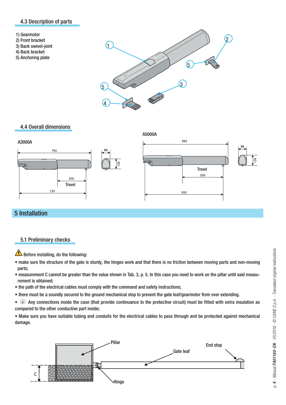#### 4.3 Description of parts

- 1) Gearmotor
- 2) Front bracket
- 3) Back swivel-joint
- 4) Back bracket
- 5) Anchoring plate



#### 4.4 Overall dimensions



# 5 Installation

### 5.1 Preliminary checks

Before installing, do the following:

- make sure the structure of the gate is sturdy, the hinges work and that there is no friction between moving parts and non-moving parts;
- measurement C cannot be greater than the value shown in Tab. 3, p. 5. In this case you need to work on the pillar until said measurement is obtained;
- the path of the electrical cables must comply with the command and safety instructions;
- there must be a soundly secured to the ground mechanical stop to prevent the gate leaf/gearmotor from over extending.

 $\bullet \oplus$  Any connections inside the case (that provide continuance to the protective circuit) must be fitted with extra insulation as compared to the other conductive part inside;

• Make sure you have suitable tubing and conduits for the electrical cables to pass through and be protected against mechanical damage.

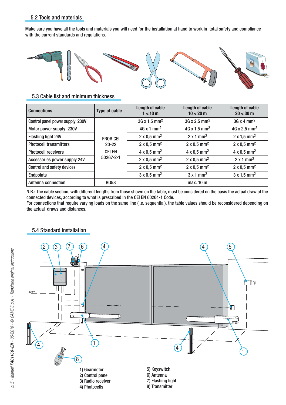### 5.2 Tools and materials

Make sure you have all the tools and materials you will need for the installation at hand to work in total safety and compliance with the current standards and regulations.



## 5.3 Cable list and minimum thickness

| <b>Connections</b>              | <b>Type of cable</b>                    | Length of cable<br>1 < 10 m     | Length of cable<br>10 < 20 m    | Length of cable<br>$20 < 30 \text{ m}$ |
|---------------------------------|-----------------------------------------|---------------------------------|---------------------------------|----------------------------------------|
| Control panel power supply 230V |                                         | $3G \times 1.5$ mm <sup>2</sup> | $3G \times 2.5$ mm <sup>2</sup> | $3G \times 4$ mm <sup>2</sup>          |
| Motor power supply 230V         |                                         | $4G \times 1$ mm <sup>2</sup>   | 4G x 1,5 mm <sup>2</sup>        | 4G x 2,5 mm <sup>2</sup>               |
| <b>Flashing light 24V</b>       | <b>FROR CEI</b>                         | $2 \times 0.5$ mm <sup>2</sup>  | $2 \times 1$ mm <sup>2</sup>    | $2 \times 1.5$ mm <sup>2</sup>         |
| <b>Photocell transmitters</b>   | $20 - 22$<br><b>CEI EN</b><br>50267-2-1 | $2 \times 0.5$ mm <sup>2</sup>  | $2 \times 0.5$ mm <sup>2</sup>  | $2 \times 0.5$ mm <sup>2</sup>         |
| <b>Photocell receivers</b>      |                                         | $4 \times 0.5$ mm <sup>2</sup>  | $4 \times 0.5$ mm <sup>2</sup>  | $4 \times 0.5$ mm <sup>2</sup>         |
| Accessories power supply 24V    |                                         | $2 \times 0.5$ mm <sup>2</sup>  | $2 \times 0.5$ mm <sup>2</sup>  | $2 \times 1$ mm <sup>2</sup>           |
| Control and safety devices      |                                         | $2 \times 0.5$ mm <sup>2</sup>  | $2 \times 0.5$ mm <sup>2</sup>  | $2 \times 0.5$ mm <sup>2</sup>         |
| <b>Endpoints</b>                |                                         | $3 \times 0.5$ mm <sup>2</sup>  | $3 \times 1$ mm <sup>2</sup>    | $3x1.5$ mm <sup>2</sup>                |
| Antenna connection              | <b>RG58</b>                             |                                 | max. 10 m                       |                                        |

N.B.: The cable section, with different lengths from those shown on the table, must be considered on the basis the actual draw of the connected devices, according to what is prescribed in the CEI EN 60204-1 Code.

For connections that require varying loads on the same line (i.e. sequential), the table values should be reconsidered depending on the actual draws and distances.



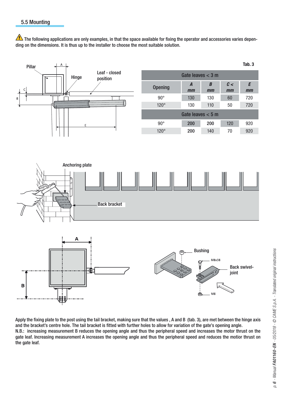$\spadesuit$  The following applications are only examples, in that the space available for fixing the operator and accessories varies depending on the dimensions. It is thus up to the installer to choose the most suitable solution.



Apply the fixing plate to the post using the tail bracket, making sure that the values , A and B (tab. 3), are met between the hinge axis and the bracket's centre hole. The tail bracket is fitted with further holes to allow for variation of the gate's opening angle. N.B.: increasing measurement B reduces the opening angle and thus the peripheral speed and increases the motor thrust on the gate leaf. Increasing measurement A increases the opening angle and thus the peripheral speed and reduces the motior thrust on the gate leaf.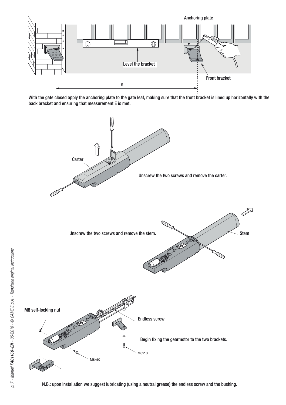

With the gate closed apply the anchoring plate to the gate leaf, making sure that the front bracket is lined up horizontally with the back bracket and ensuring that measurement E is met.

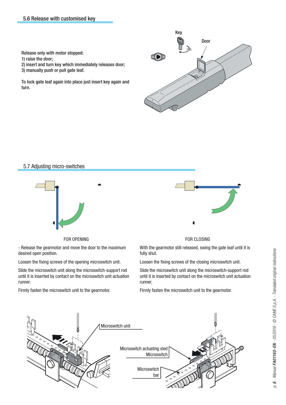**CAME** 180 Door

Key

Release only with motor stopped:

- 1) raise the door;
- 2) insert and turn key which immediately releases door;
- 3) manually push or pull gate leaf.

To lock gate leaf again into place just insert key again and turn.

#### 5.7 Adjusting micro-switches



FOR OPENING

- Release the gearmotor and move the door to the maximum desired open position.

Loosen the fixing screws of the opening microswitch unit.

Slide the microswitch unit along the microswitch-support rod until it is inserted by contact on the microswitch unit actuation runner.

Firmly fasten the microswitch unit to the gearmotor.



#### FOR CLOSING

With the gearmotor still released, swing the gate leaf until it is fully shut.

Loosen the fixing screws of the closing microswitch unit.

Slide the microswitch unit along the microswitch-support rod until it is inserted by contact on the microswitch unit actuation runner.

Firmly fasten the microswitch unit to the gearmotor.

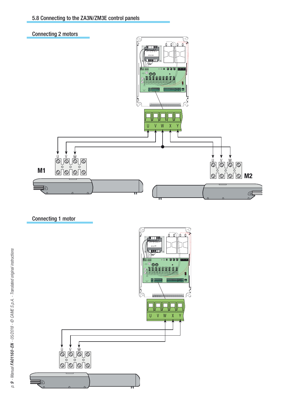

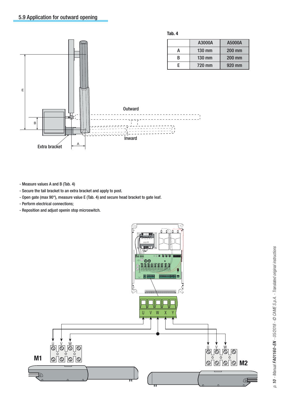

**Tab. 4**

|   | A3000A | A5000A |
|---|--------|--------|
|   | 130 mm | 200 mm |
| R | 130 mm | 200 mm |
| F | 720 mm | 920 mm |

- Measure values A and B (Tab. 4)

- Secure the tail bracket to an extra bracket and apply to post.

- Open gate (max 90°), measure value E (Tab. 4) and secure head bracket to gate leaf.
- Perform electrical connections;
- Reposition and adjust openin stop microswitch.

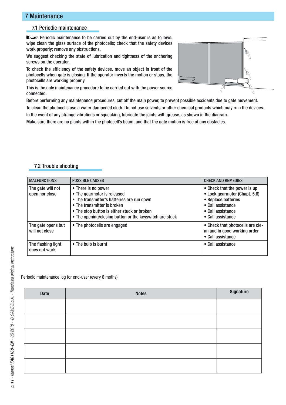# 7 Maintenance

### 7.1 Periodic maintenance

**LES** Periodic maintenance to be carried out by the end-user is as follows: wipe clean the glass surface of the photocells; check that the safety devices work properly; remove any obstructions.

We suggest checking the state of lubrication and tightness of the anchoring screws on the operator.

To check the efficiency of the safety devices, move an object in front of the photocells when gate is closing. If the operator inverts the motion or stops, the photocells are working properly.

This is the only maintenance procedure to be carried out with the power source connected.

Before performing any maintenance procedures, cut off the main power, to prevent possible accidents due to gate movement. To clean the photocells use a water dampened cloth. Do not use solvents or other chemical products which may ruin the devices.

In the event of any strange vibrations or squeaking, lubricate the joints with grease, as shown in the diagram.

Make sure there are no plants within the photocell's beam, and that the gate motion is free of any obstacles.

### 7.2 Trouble shooting

| <b>MALFUNCTIONS</b>                  | <b>POSSIBLE CAUSES</b>                                                                                                                                                                                                                    | <b>CHECK AND REMEDIES</b>                                                                                                                           |
|--------------------------------------|-------------------------------------------------------------------------------------------------------------------------------------------------------------------------------------------------------------------------------------------|-----------------------------------------------------------------------------------------------------------------------------------------------------|
| The gate will not<br>open nor close  | • There is no power<br>• The gearmotor is released<br>• The transmitter's batteries are run down<br>• The transmitter is broken<br>• The stop button is either stuck or broken<br>• The opening/closing button or the keyswitch are stuck | • Check that the power is up<br>• Lock gearmotor (Chapt. 5.6)<br>• Replace batteries<br>• Call assistance<br>• Call assistance<br>• Call assistance |
| The gate opens but<br>will not close | • The photocells are engaged                                                                                                                                                                                                              | • Check that photocells are cle-<br>an and in good working order<br>• Call assistance                                                               |
| The flashing light<br>does not work  | • The bulb is burnt                                                                                                                                                                                                                       | • Call assistance                                                                                                                                   |

Periodic maintenance log for end-user (every 6 moths)

| Date | <b>Notes</b> | Signature |
|------|--------------|-----------|
|      |              |           |
|      |              |           |
|      |              |           |
|      |              |           |
|      |              |           |
|      |              |           |